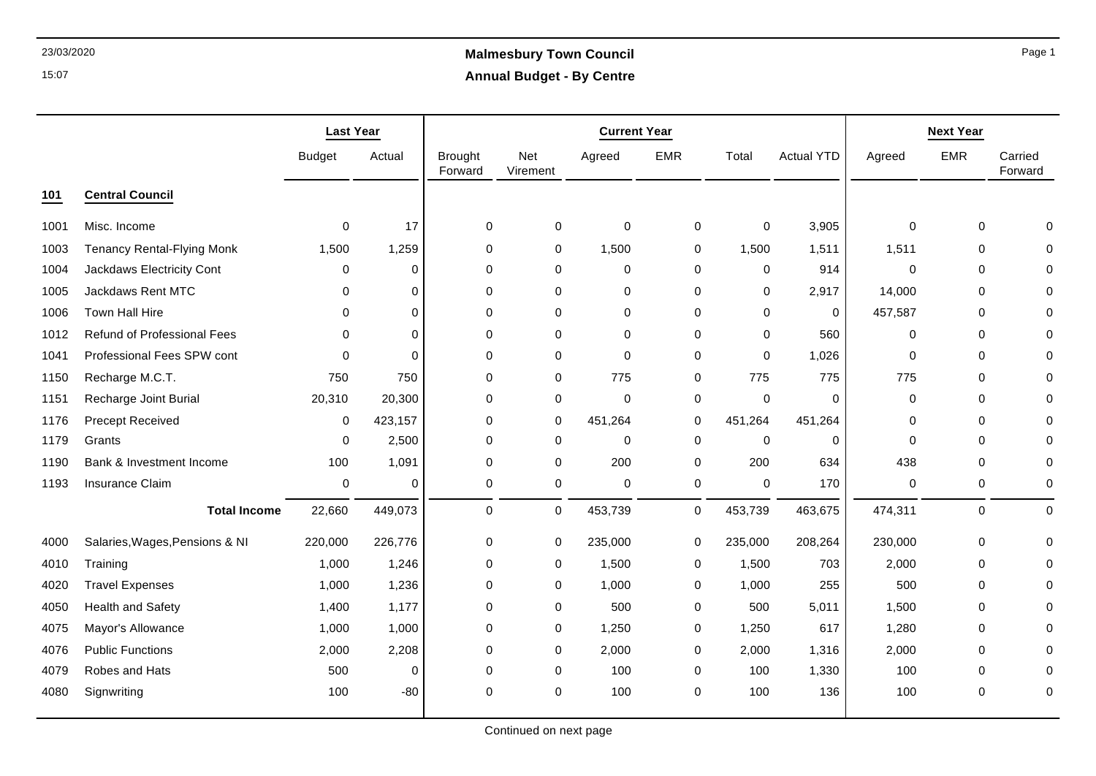# 23/03/2020 **Malmesbury Town Council Annual Budget - By Centre**

|      |                                   | <b>Last Year</b> |             |                           |                 | <b>Current Year</b> |             |             |                   | <b>Next Year</b> |             |                    |
|------|-----------------------------------|------------------|-------------|---------------------------|-----------------|---------------------|-------------|-------------|-------------------|------------------|-------------|--------------------|
|      |                                   | <b>Budget</b>    | Actual      | <b>Brought</b><br>Forward | Net<br>Virement | Agreed              | <b>EMR</b>  | Total       | <b>Actual YTD</b> | Agreed           | <b>EMR</b>  | Carried<br>Forward |
| 101  | <b>Central Council</b>            |                  |             |                           |                 |                     |             |             |                   |                  |             |                    |
| 1001 | Misc. Income                      | 0                | 17          | 0                         | 0               | 0                   | 0           | $\mathbf 0$ | 3,905             | 0                | 0           |                    |
| 1003 | <b>Tenancy Rental-Flying Monk</b> | 1,500            | 1,259       | 0                         | 0               | 1,500               | 0           | 1,500       | 1,511             | 1,511            | 0           |                    |
| 1004 | Jackdaws Electricity Cont         | 0                | 0           | 0                         | 0               | $\mathbf 0$         | 0           | 0           | 914               | $\mathbf 0$      | $\Omega$    | O                  |
| 1005 | Jackdaws Rent MTC                 | 0                | $\mathbf 0$ | 0                         | 0               | $\mathbf 0$         | $\mathbf 0$ | $\Omega$    | 2,917             | 14,000           | $\Omega$    |                    |
| 1006 | Town Hall Hire                    | $\Omega$         | $\Omega$    | $\pmb{0}$                 | 0               | $\mathbf 0$         | 0           | 0           | 0                 | 457,587          | 0           |                    |
| 1012 | Refund of Professional Fees       | 0                | $\mathbf 0$ | $\mathbf 0$               | $\mathbf 0$     | $\mathbf 0$         | $\mathbf 0$ | $\Omega$    | 560               | $\mathbf 0$      | $\Omega$    | $\Omega$           |
| 1041 | Professional Fees SPW cont        | $\Omega$         | $\Omega$    | 0                         | 0               | $\mathbf 0$         | 0           | $\Omega$    | 1,026             | 0                | 0           |                    |
| 1150 | Recharge M.C.T.                   | 750              | 750         | 0                         | 0               | 775                 | 0           | 775         | 775               | 775              | 0           |                    |
| 1151 | Recharge Joint Burial             | 20,310           | 20,300      | 0                         | 0               | $\mathbf 0$         | 0           | $\mathbf 0$ | $\mathbf 0$       | 0                | 0           | $\Omega$           |
| 1176 | <b>Precept Received</b>           | 0                | 423,157     | $\Omega$                  | 0               | 451,264             | 0           | 451,264     | 451,264           | 0                | $\Omega$    | O                  |
| 1179 | Grants                            | 0                | 2,500       | 0                         | 0               | $\mathbf 0$         | 0           | $\mathbf 0$ | $\mathbf 0$       | 0                | 0           | $\Omega$           |
| 1190 | Bank & Investment Income          | 100              | 1,091       | $\Omega$                  | 0               | 200                 | 0           | 200         | 634               | 438              | 0           | 0                  |
| 1193 | Insurance Claim                   | 0                | $\Omega$    | $\pmb{0}$                 | 0               | $\mathbf 0$         | 0           | $\mathbf 0$ | 170               | 0                | 0           | 0                  |
|      | <b>Total Income</b>               | 22,660           | 449,073     | $\mathbf 0$               | $\mathbf 0$     | 453,739             | 0           | 453,739     | 463,675           | 474,311          | $\mathbf 0$ | $\mathbf 0$        |
| 4000 | Salaries, Wages, Pensions & NI    | 220,000          | 226,776     | 0                         | 0               | 235,000             | 0           | 235,000     | 208,264           | 230,000          | 0           | $\Omega$           |
| 4010 | Training                          | 1,000            | 1,246       | 0                         | 0               | 1,500               | 0           | 1,500       | 703               | 2,000            | 0           | 0                  |
| 4020 | <b>Travel Expenses</b>            | 1,000            | 1,236       | 0                         | 0               | 1,000               | 0           | 1,000       | 255               | 500              | 0           | O                  |
| 4050 | <b>Health and Safety</b>          | 1,400            | 1,177       | 0                         | 0               | 500                 | 0           | 500         | 5,011             | 1,500            | $\mathbf 0$ |                    |
| 4075 | Mayor's Allowance                 | 1,000            | 1,000       | 0                         | 0               | 1,250               | 0           | 1,250       | 617               | 1,280            | 0           |                    |
| 4076 | <b>Public Functions</b>           | 2,000            | 2,208       | 0                         | 0               | 2,000               | 0           | 2,000       | 1,316             | 2,000            | 0           | 0                  |
| 4079 | <b>Robes and Hats</b>             | 500              | $\Omega$    | 0                         | 0               | 100                 | 0           | 100         | 1,330             | 100              | 0           |                    |
| 4080 | Signwriting                       | 100              | $-80$       | $\mathbf 0$               | 0               | 100                 | $\mathbf 0$ | 100         | 136               | 100              | $\mathbf 0$ | 0                  |

Page 1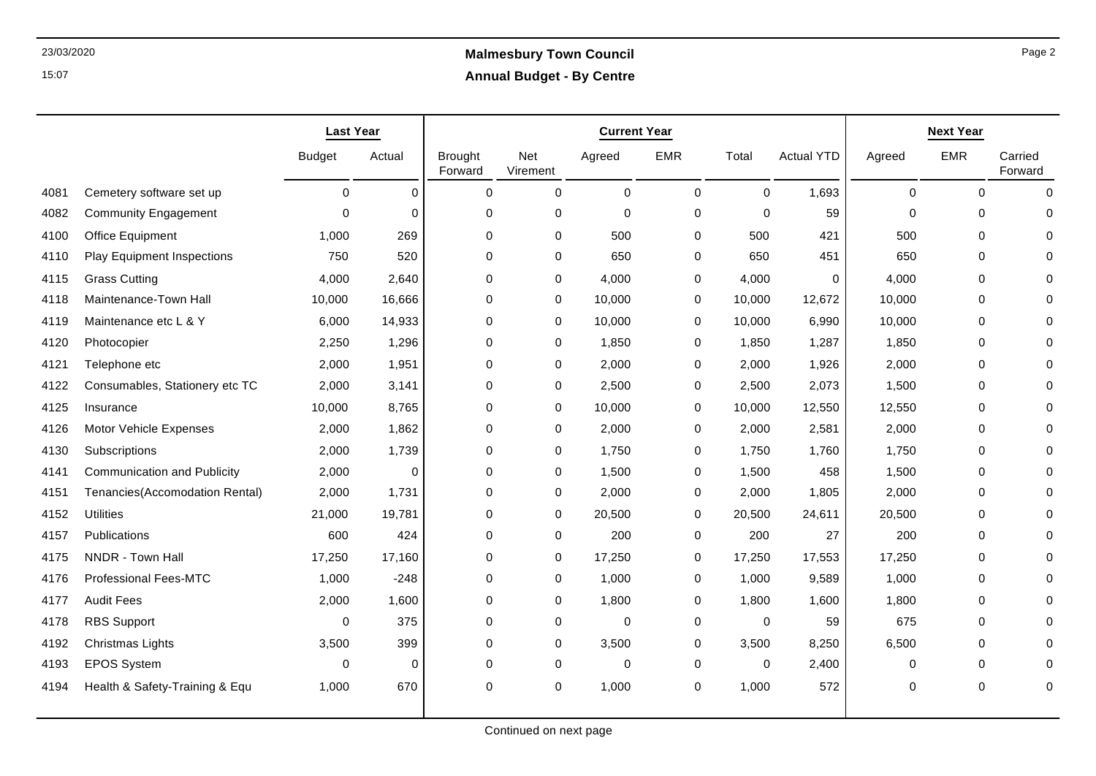# 23/03/2020 **Malmesbury Town Council Annual Budget - By Centre**

|      |                                    | <b>Last Year</b> |          |                           | <b>Next Year</b> |             |             |             |                   |             |             |                    |
|------|------------------------------------|------------------|----------|---------------------------|------------------|-------------|-------------|-------------|-------------------|-------------|-------------|--------------------|
|      |                                    | <b>Budget</b>    | Actual   | <b>Brought</b><br>Forward | Net<br>Virement  | Agreed      | <b>EMR</b>  | Total       | <b>Actual YTD</b> | Agreed      | <b>EMR</b>  | Carried<br>Forward |
| 4081 | Cemetery software set up           | $\mathbf 0$      | $\Omega$ | $\mathbf 0$               | $\mathbf 0$      | $\mathbf 0$ | $\mathbf 0$ | $\Omega$    | 1,693             | $\mathbf 0$ | $\Omega$    | $\Omega$           |
| 4082 | <b>Community Engagement</b>        | $\Omega$         | $\Omega$ | 0                         | 0                | $\mathbf 0$ | 0           | $\Omega$    | 59                | $\Omega$    | $\Omega$    | $\Omega$           |
| 4100 | Office Equipment                   | 1,000            | 269      | 0                         | 0                | 500         | 0           | 500         | 421               | 500         | $\mathbf 0$ |                    |
| 4110 | <b>Play Equipment Inspections</b>  | 750              | 520      | 0                         | 0                | 650         | 0           | 650         | 451               | 650         | $\Omega$    |                    |
| 4115 | <b>Grass Cutting</b>               | 4,000            | 2,640    | 0                         | 0                | 4,000       | 0           | 4,000       | 0                 | 4,000       | $\mathbf 0$ | $\Omega$           |
| 4118 | Maintenance-Town Hall              | 10,000           | 16,666   | 0                         | 0                | 10,000      | 0           | 10,000      | 12,672            | 10,000      | $\mathbf 0$ | ∩                  |
| 4119 | Maintenance etc L & Y              | 6,000            | 14,933   | 0                         | 0                | 10,000      | 0           | 10,000      | 6,990             | 10,000      | $\mathbf 0$ |                    |
| 4120 | Photocopier                        | 2,250            | 1,296    | 0                         | 0                | 1,850       | 0           | 1,850       | 1,287             | 1,850       | $\Omega$    | O                  |
| 4121 | Telephone etc                      | 2,000            | 1,951    | 0                         | 0                | 2,000       | 0           | 2,000       | 1,926             | 2,000       | $\mathbf 0$ |                    |
| 4122 | Consumables, Stationery etc TC     | 2,000            | 3,141    | 0                         | 0                | 2,500       | 0           | 2,500       | 2,073             | 1,500       | $\mathbf 0$ |                    |
| 4125 | Insurance                          | 10,000           | 8,765    | 0                         | 0                | 10,000      | 0           | 10,000      | 12,550            | 12,550      | $\mathbf 0$ | O                  |
| 4126 | Motor Vehicle Expenses             | 2,000            | 1,862    | $\mathbf 0$               | 0                | 2,000       | 0           | 2,000       | 2,581             | 2,000       | $\mathbf 0$ |                    |
| 4130 | Subscriptions                      | 2,000            | 1,739    | 0                         | 0                | 1,750       | 0           | 1,750       | 1,760             | 1,750       | $\mathbf 0$ | $\cap$             |
| 4141 | <b>Communication and Publicity</b> | 2,000            | $\Omega$ | 0                         | 0                | 1,500       | 0           | 1,500       | 458               | 1,500       | $\mathbf 0$ |                    |
| 4151 | Tenancies(Accomodation Rental)     | 2,000            | 1,731    | 0                         | 0                | 2,000       | 0           | 2,000       | 1,805             | 2,000       | $\mathbf 0$ |                    |
| 4152 | <b>Utilities</b>                   | 21,000           | 19,781   | 0                         | $\mathbf 0$      | 20,500      | 0           | 20,500      | 24,611            | 20,500      | $\mathbf 0$ | $\cap$             |
| 4157 | Publications                       | 600              | 424      | 0                         | 0                | 200         | 0           | 200         | 27                | 200         | $\Omega$    | ∩                  |
| 4175 | NNDR - Town Hall                   | 17,250           | 17,160   | 0                         | 0                | 17,250      | 0           | 17,250      | 17,553            | 17,250      | $\mathbf 0$ |                    |
| 4176 | <b>Professional Fees-MTC</b>       | 1,000            | $-248$   | 0                         | 0                | 1,000       | 0           | 1,000       | 9,589             | 1,000       | $\mathbf 0$ |                    |
| 4177 | <b>Audit Fees</b>                  | 2,000            | 1,600    | 0                         | $\mathbf 0$      | 1,800       | 0           | 1,800       | 1,600             | 1,800       | $\Omega$    |                    |
| 4178 | <b>RBS Support</b>                 | $\Omega$         | 375      | $\Omega$                  | 0                | $\mathbf 0$ | 0           | $\mathbf 0$ | 59                | 675         | $\Omega$    |                    |
| 4192 | Christmas Lights                   | 3,500            | 399      | 0                         | 0                | 3,500       | 0           | 3,500       | 8,250             | 6,500       | $\mathbf 0$ |                    |
| 4193 | <b>EPOS System</b>                 | 0                | $\Omega$ | $\mathbf 0$               | 0                | $\mathbf 0$ | 0           | $\mathbf 0$ | 2,400             | $\mathbf 0$ | 0           | ∩                  |
| 4194 | Health & Safety-Training & Equ     | 1,000            | 670      | 0                         | $\mathbf 0$      | 1,000       | $\mathbf 0$ | 1,000       | 572               | $\mathbf 0$ | $\mathbf 0$ | $\Omega$           |
|      |                                    |                  |          |                           |                  |             |             |             |                   |             |             |                    |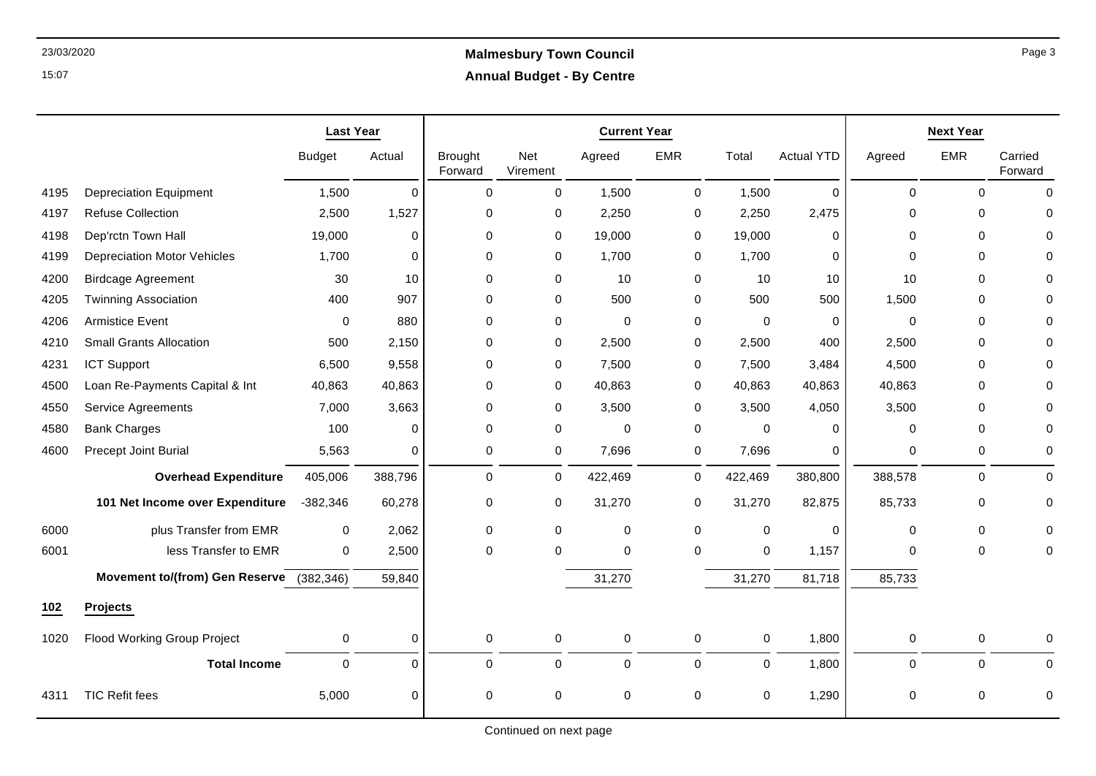## 23/03/2020 **Malmesbury Town Council Annual Budget - By Centre**

|      |                                          | <b>Last Year</b> |             | <b>Current Year</b>       |                        |             |             |              |                   | <b>Next Year</b> |             |                    |  |
|------|------------------------------------------|------------------|-------------|---------------------------|------------------------|-------------|-------------|--------------|-------------------|------------------|-------------|--------------------|--|
|      |                                          | <b>Budget</b>    | Actual      | <b>Brought</b><br>Forward | <b>Net</b><br>Virement | Agreed      | EMR         | Total        | <b>Actual YTD</b> | Agreed           | <b>EMR</b>  | Carried<br>Forward |  |
| 4195 | <b>Depreciation Equipment</b>            | 1,500            | $\mathbf 0$ | $\Omega$                  | 0                      | 1,500       | 0           | 1,500        | $\mathbf 0$       | $\mathbf 0$      | $\Omega$    | $\Omega$           |  |
| 4197 | <b>Refuse Collection</b>                 | 2,500            | 1,527       | 0                         | 0                      | 2,250       | 0           | 2,250        | 2,475             | 0                | 0           | $\Omega$           |  |
| 4198 | Dep'rctn Town Hall                       | 19,000           | $\mathbf 0$ | 0                         | 0                      | 19,000      | 0           | 19,000       | 0                 | $\mathbf 0$      | $\mathbf 0$ | $\mathbf 0$        |  |
| 4199 | <b>Depreciation Motor Vehicles</b>       | 1,700            | $\Omega$    | 0                         | 0                      | 1,700       | 0           | 1,700        | 0                 | $\Omega$         | $\Omega$    | $\Omega$           |  |
| 4200 | <b>Birdcage Agreement</b>                | 30               | 10          | 0                         | 0                      | 10          | 0           | 10           | 10                | 10               | $\mathbf 0$ | $\Omega$           |  |
| 4205 | <b>Twinning Association</b>              | 400              | 907         | $\Omega$                  | 0                      | 500         | $\mathbf 0$ | 500          | 500               | 1,500            | $\mathbf 0$ | $\Omega$           |  |
| 4206 | <b>Armistice Event</b>                   | 0                | 880         | 0                         | 0                      | $\Omega$    | 0           | $\Omega$     | 0                 | $\Omega$         | $\Omega$    | $\Omega$           |  |
| 4210 | <b>Small Grants Allocation</b>           | 500              | 2,150       | 0                         | 0                      | 2,500       | 0           | 2,500        | 400               | 2,500            | 0           | $\Omega$           |  |
| 4231 | <b>ICT Support</b>                       | 6,500            | 9,558       | 0                         | 0                      | 7,500       | 0           | 7,500        | 3,484             | 4,500            | $\Omega$    | $\Omega$           |  |
| 4500 | Loan Re-Payments Capital & Int           | 40,863           | 40,863      | 0                         | 0                      | 40,863      | 0           | 40,863       | 40,863            | 40,863           | $\mathbf 0$ | $\Omega$           |  |
| 4550 | <b>Service Agreements</b>                | 7,000            | 3,663       | 0                         | 0                      | 3,500       | 0           | 3,500        | 4,050             | 3,500            | 0           | $\Omega$           |  |
| 4580 | <b>Bank Charges</b>                      | 100              | 0           | $\mathbf 0$               | 0                      | 0           | 0           | 0            | 0                 | 0                | 0           | $\Omega$           |  |
| 4600 | Precept Joint Burial                     | 5,563            | $\Omega$    | 0                         | 0                      | 7,696       | $\mathbf 0$ | 7,696        | $\mathbf 0$       | $\mathbf 0$      | $\mathbf 0$ | 0                  |  |
|      | <b>Overhead Expenditure</b>              | 405,006          | 388,796     | 0                         | 0                      | 422,469     | $\mathbf 0$ | 422,469      | 380,800           | 388,578          | 0           | $\mathbf 0$        |  |
|      | 101 Net Income over Expenditure          | $-382,346$       | 60,278      | 0                         | 0                      | 31,270      | 0           | 31,270       | 82,875            | 85,733           | 0           | $\mathbf 0$        |  |
| 6000 | plus Transfer from EMR                   | $\mathbf 0$      | 2,062       | $\Omega$                  | 0                      | 0           | $\mathbf 0$ | $\mathbf 0$  | 0                 | 0                | 0           | $\Omega$           |  |
| 6001 | less Transfer to EMR                     | 0                | 2,500       | 0                         | 0                      | 0           | 0           | $\pmb{0}$    | 1,157             | 0                | 0           | 0                  |  |
|      | Movement to/(from) Gen Reserve (382,346) |                  | 59,840      |                           |                        | 31,270      |             | 31,270       | 81,718            | 85,733           |             |                    |  |
| 102  | <b>Projects</b>                          |                  |             |                           |                        |             |             |              |                   |                  |             |                    |  |
| 1020 | <b>Flood Working Group Project</b>       | 0                | $\Omega$    | $\mathbf 0$               | 0                      | 0           | 0           | 0            | 1,800             | $\mathbf 0$      | $\mathbf 0$ | $\Omega$           |  |
|      | <b>Total Income</b>                      | $\mathbf 0$      | $\mathbf 0$ | 0                         | 0                      | $\mathbf 0$ | $\mathbf 0$ | $\mathsf{O}$ | 1,800             | $\mathbf 0$      | 0           | $\mathbf 0$        |  |
| 4311 | <b>TIC Refit fees</b>                    | 5,000            | $\mathbf 0$ | 0                         | 0                      | 0           | 0           | 0            | 1,290             | 0                | 0           | 0                  |  |

Page 3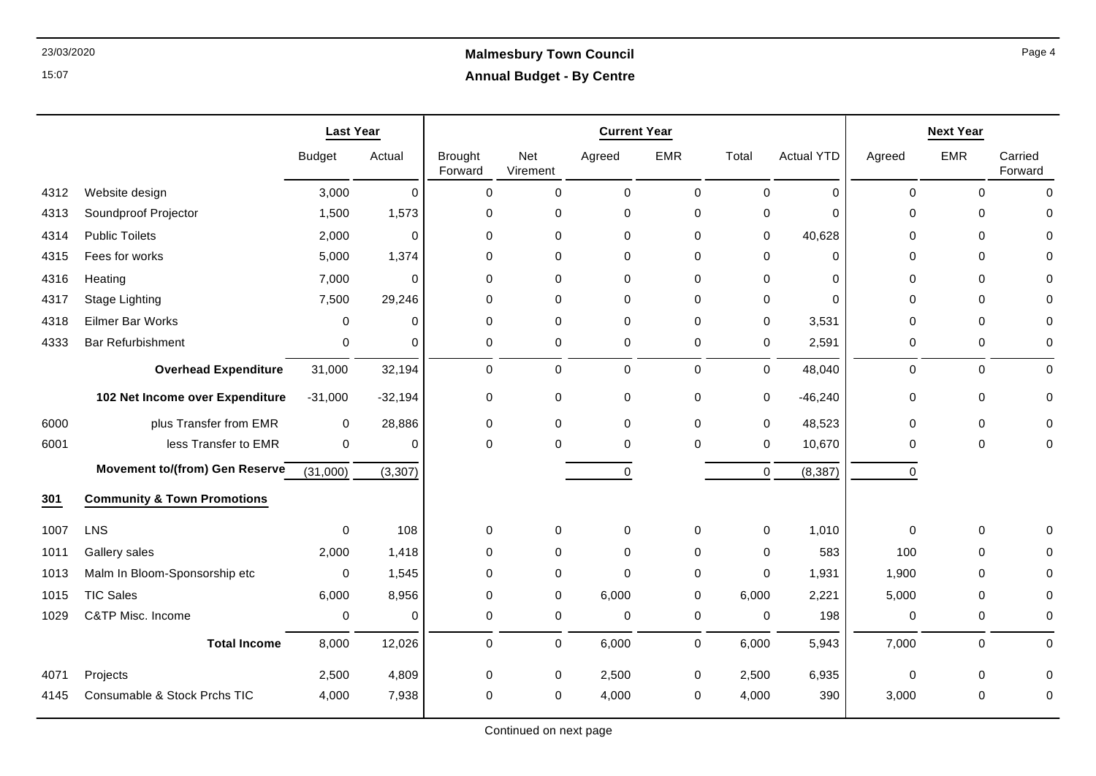# 23/03/2020 **Malmesbury Town Council Annual Budget - By Centre**

|      |                                        | <b>Last Year</b> |             |                           |                 | <b>Current Year</b> |              | <b>Next Year</b> |                   |             |             |                    |
|------|----------------------------------------|------------------|-------------|---------------------------|-----------------|---------------------|--------------|------------------|-------------------|-------------|-------------|--------------------|
|      |                                        | <b>Budget</b>    | Actual      | <b>Brought</b><br>Forward | Net<br>Virement | Agreed              | <b>EMR</b>   | Total            | <b>Actual YTD</b> | Agreed      | <b>EMR</b>  | Carried<br>Forward |
| 4312 | Website design                         | 3,000            | $\Omega$    | $\Omega$                  | $\pmb{0}$       | $\Omega$            | $\pmb{0}$    | $\Omega$         | $\Omega$          | $\Omega$    | $\Omega$    | $\Omega$           |
| 4313 | Soundproof Projector                   | 1,500            | 1,573       | $\mathbf 0$               | 0               | $\mathbf 0$         | $\mathbf 0$  | 0                | $\Omega$          | $\mathbf 0$ | $\Omega$    |                    |
| 4314 | <b>Public Toilets</b>                  | 2,000            | $\Omega$    | $\mathbf 0$               | $\mathbf 0$     | 0                   | 0            | 0                | 40,628            | 0           | 0           |                    |
| 4315 | Fees for works                         | 5,000            | 1,374       | $\mathbf 0$               | $\Omega$        | 0                   | $\mathbf{0}$ | $\Omega$         | $\Omega$          | 0           | 0           |                    |
| 4316 | Heating                                | 7,000            | $\mathbf 0$ | $\mathbf 0$               | $\mathbf 0$     | $\mathbf 0$         | $\mathbf 0$  | $\mathbf 0$      | $\Omega$          | 0           | 0           |                    |
| 4317 | <b>Stage Lighting</b>                  | 7,500            | 29,246      | $\mathbf 0$               | $\mathbf 0$     | 0                   | $\mathbf 0$  | 0                | $\Omega$          | 0           | $\pmb{0}$   |                    |
| 4318 | <b>Eilmer Bar Works</b>                | $\Omega$         | $\Omega$    | $\Omega$                  | $\mathbf 0$     | $\Omega$            | $\mathbf 0$  | $\Omega$         | 3,531             | 0           | $\mathbf 0$ | $\Omega$           |
| 4333 | <b>Bar Refurbishment</b>               | $\mathbf 0$      | $\Omega$    | $\mathbf 0$               | $\mathbf 0$     | $\mathbf 0$         | $\mathbf 0$  | 0                | 2,591             | 0           | 0           | $\Omega$           |
|      | <b>Overhead Expenditure</b>            | 31,000           | 32,194      | $\mathbf 0$               | $\mathbf 0$     | $\mathbf 0$         | $\mathbf 0$  | $\mathbf 0$      | 48,040            | $\mathbf 0$ | $\mathbf 0$ | $\Omega$           |
|      | 102 Net Income over Expenditure        | $-31,000$        | $-32,194$   | 0                         | 0               | 0                   | $\mathbf 0$  | $\mathbf 0$      | $-46,240$         | 0           | $\pmb{0}$   | $\Omega$           |
| 6000 | plus Transfer from EMR                 | $\mathbf 0$      | 28,886      | $\mathbf 0$               | $\mathbf 0$     | $\mathbf 0$         | $\mathbf 0$  | $\mathbf 0$      | 48,523            | $\mathbf 0$ | 0           |                    |
| 6001 | less Transfer to EMR                   | $\mathbf 0$      | $\Omega$    | $\Omega$                  | $\Omega$        | 0                   | $\Omega$     | $\Omega$         | 10,670            | 0           | $\pmb{0}$   | $\Omega$           |
|      | Movement to/(from) Gen Reserve         | (31,000)         | (3, 307)    |                           |                 | $\mathbf 0$         |              | $\mathbf 0$      | (8, 387)          | $\mathbf 0$ |             |                    |
| 301  | <b>Community &amp; Town Promotions</b> |                  |             |                           |                 |                     |              |                  |                   |             |             |                    |
| 1007 | <b>LNS</b>                             | $\mathbf 0$      | 108         | 0                         | 0               | 0                   | $\mathbf 0$  | $\mathbf 0$      | 1,010             | $\mathbf 0$ | $\mathbf 0$ | ∩                  |
| 1011 | Gallery sales                          | 2,000            | 1,418       | $\mathbf 0$               | $\mathbf 0$     | 0                   | $\mathbf{0}$ | $\mathbf 0$      | 583               | 100         | $\mathbf 0$ |                    |
| 1013 | Malm In Bloom-Sponsorship etc          | $\mathbf 0$      | 1,545       | $\mathbf 0$               | $\mathbf 0$     | $\mathbf 0$         | 0            | $\Omega$         | 1,931             | 1,900       | 0           |                    |
| 1015 | <b>TIC Sales</b>                       | 6,000            | 8,956       | $\Omega$                  | 0               | 6,000               | 0            | 6,000            | 2,221             | 5,000       | $\pmb{0}$   | $\Omega$           |
| 1029 | C&TP Misc. Income                      | 0                | $\Omega$    | 0                         | 0               | 0                   | $\mathbf 0$  | 0                | 198               | 0           | 0           | 0                  |
|      | <b>Total Income</b>                    | 8,000            | 12,026      | $\mathbf 0$               | 0               | 6,000               | $\mathbf 0$  | 6,000            | 5,943             | 7,000       | $\mathbf 0$ | $\mathbf 0$        |
| 4071 | Projects                               | 2,500            | 4,809       | 0                         | 0               | 2,500               | $\mathbf 0$  | 2,500            | 6,935             | 0           | 0           | $\Omega$           |
| 4145 | Consumable & Stock Prchs TIC           | 4.000            | 7,938       | $\Omega$                  | 0               | 4,000               | 0            | 4,000            | 390               | 3,000       | $\Omega$    | $\Omega$           |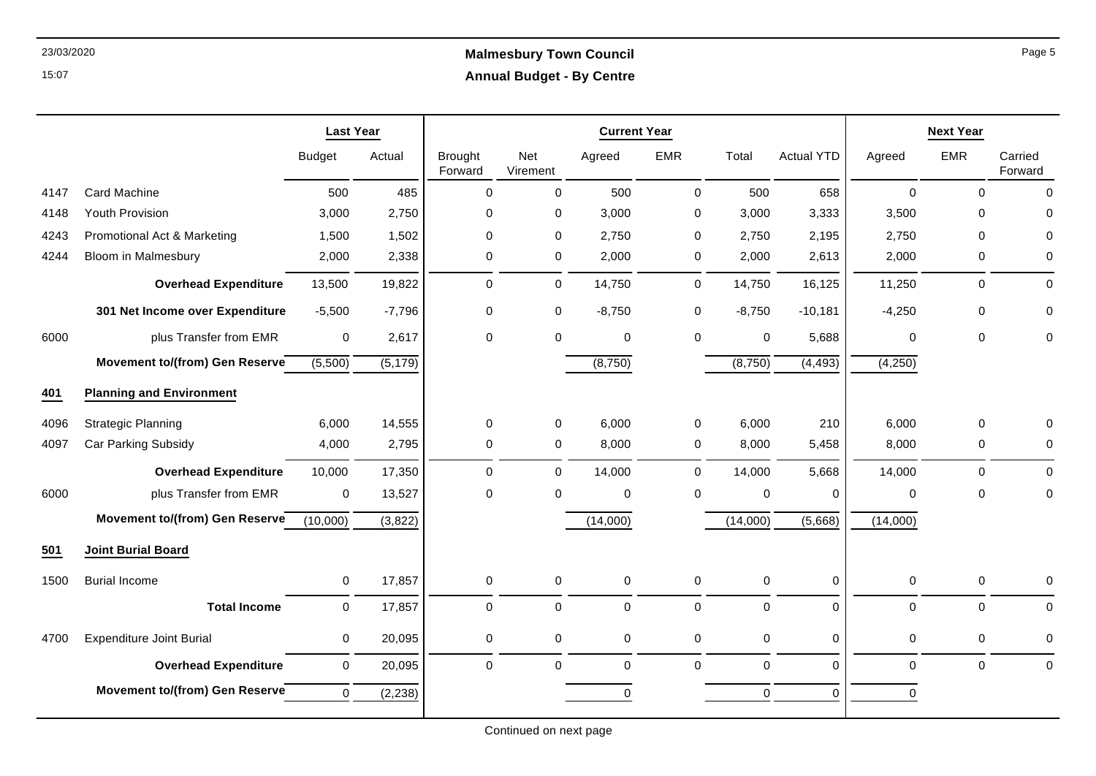## 23/03/2020 **Malmesbury Town Council Annual Budget - By Centre**

|      |                                 | <b>Last Year</b> |          |                           |                 | <b>Current Year</b> |             |             |                   | <b>Next Year</b> |             |                    |  |
|------|---------------------------------|------------------|----------|---------------------------|-----------------|---------------------|-------------|-------------|-------------------|------------------|-------------|--------------------|--|
|      |                                 | <b>Budget</b>    | Actual   | <b>Brought</b><br>Forward | Net<br>Virement | Agreed              | <b>EMR</b>  | Total       | <b>Actual YTD</b> | Agreed           | <b>EMR</b>  | Carried<br>Forward |  |
| 4147 | Card Machine                    | 500              | 485      | 0                         | 0               | 500                 | $\pmb{0}$   | 500         | 658               | $\mathbf 0$      | $\mathbf 0$ | $\Omega$           |  |
| 4148 | Youth Provision                 | 3,000            | 2,750    | 0                         | 0               | 3,000               | 0           | 3,000       | 3,333             | 3,500            | 0           | 0                  |  |
| 4243 | Promotional Act & Marketing     | 1,500            | 1,502    | $\Omega$                  | 0               | 2,750               | 0           | 2,750       | 2,195             | 2,750            | $\Omega$    | 0                  |  |
| 4244 | <b>Bloom in Malmesbury</b>      | 2,000            | 2,338    | 0                         | 0               | 2,000               | $\pmb{0}$   | 2,000       | 2,613             | 2,000            | $\mathbf 0$ | 0                  |  |
|      | <b>Overhead Expenditure</b>     | 13,500           | 19,822   | 0                         | 0               | 14,750              | $\mathbf 0$ | 14,750      | 16,125            | 11,250           | $\Omega$    | $\mathbf{0}$       |  |
|      | 301 Net Income over Expenditure | $-5,500$         | $-7,796$ | 0                         | 0               | $-8,750$            | $\pmb{0}$   | $-8,750$    | $-10,181$         | $-4,250$         | 0           | 0                  |  |
| 6000 | plus Transfer from EMR          | $\mathbf 0$      | 2,617    | 0                         | 0               | 0                   | $\pmb{0}$   | $\mathbf 0$ | 5,688             | $\mathbf 0$      | $\mathbf 0$ | 0                  |  |
|      | Movement to/(from) Gen Reserve  | (5,500)          | (5, 179) |                           |                 | (8,750)             |             | (8,750)     | $\sqrt{4,493}$    | (4,250)          |             |                    |  |
| 401  | <b>Planning and Environment</b> |                  |          |                           |                 |                     |             |             |                   |                  |             |                    |  |
| 4096 | <b>Strategic Planning</b>       | 6,000            | 14,555   | $\mathbf 0$               | 0               | 6,000               | 0           | 6,000       | 210               | 6,000            | $\mathbf 0$ |                    |  |
| 4097 | Car Parking Subsidy             | 4,000            | 2,795    | 0                         | 0               | 8,000               | 0           | 8,000       | 5,458             | 8,000            | 0           | 0                  |  |
|      | <b>Overhead Expenditure</b>     | 10,000           | 17,350   | $\Omega$                  | 0               | 14,000              | $\mathbf 0$ | 14,000      | 5,668             | 14,000           | $\Omega$    | $\Omega$           |  |
| 6000 | plus Transfer from EMR          | 0                | 13,527   | 0                         | 0               | 0                   | $\mathbf 0$ | $\mathbf 0$ | 0                 | $\Omega$         | $\mathbf 0$ | $\mathbf 0$        |  |
|      | Movement to/(from) Gen Reserve  | (10,000)         | (3,822)  |                           |                 | (14,000)            |             | (14,000)    | (5,668)           | (14,000)         |             |                    |  |
| 501  | <b>Joint Burial Board</b>       |                  |          |                           |                 |                     |             |             |                   |                  |             |                    |  |
| 1500 | <b>Burial Income</b>            | $\mathbf 0$      | 17,857   | $\mathsf 0$               | $\mathbf 0$     | 0                   | $\pmb{0}$   | $\pmb{0}$   | 0                 | $\pmb{0}$        | $\mathbf 0$ | 0                  |  |
|      | <b>Total Income</b>             | $\mathbf 0$      | 17,857   | 0                         | 0               | $\Omega$            | $\mathbf 0$ | $\mathbf 0$ | $\Omega$          | $\Omega$         | $\Omega$    | $\Omega$           |  |
| 4700 | <b>Expenditure Joint Burial</b> | $\mathbf 0$      | 20,095   | 0                         | 0               | 0                   | $\pmb{0}$   | $\mathbf 0$ | 0                 | 0                | 0           | 0                  |  |
|      | <b>Overhead Expenditure</b>     | 0                | 20,095   | 0                         | $\mathbf 0$     | 0                   | $\mathbf 0$ | $\mathbf 0$ | $\Omega$          | $\Omega$         | $\mathbf 0$ | $\mathbf 0$        |  |
|      | Movement to/(from) Gen Reserve  | $\mathbf 0$      | (2, 238) |                           |                 | 0                   |             | $\mathbf 0$ | $\Omega$          | 0                |             |                    |  |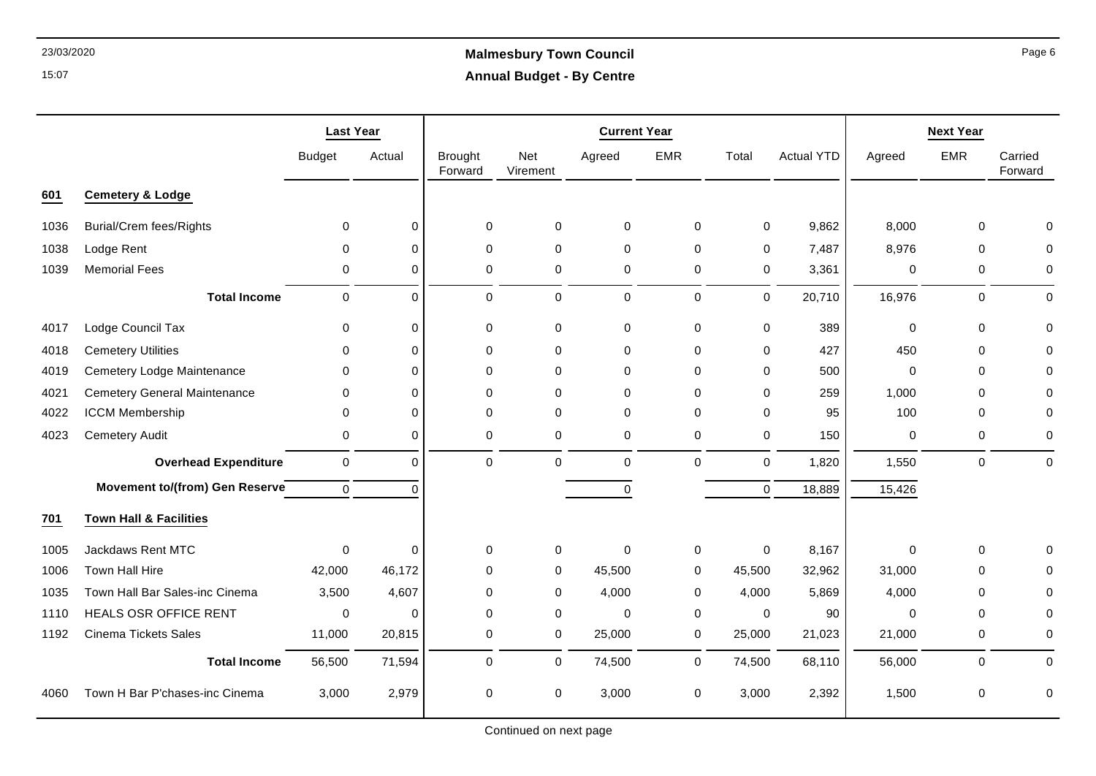# 23/03/2020 **Malmesbury Town Council Annual Budget - By Centre**

|      |                                     | <b>Last Year</b> |             |                           |                 | <b>Current Year</b> |             |             |                   |             | <b>Next Year</b> |                    |
|------|-------------------------------------|------------------|-------------|---------------------------|-----------------|---------------------|-------------|-------------|-------------------|-------------|------------------|--------------------|
|      |                                     | <b>Budget</b>    | Actual      | <b>Brought</b><br>Forward | Net<br>Virement | Agreed              | <b>EMR</b>  | Total       | <b>Actual YTD</b> | Agreed      | <b>EMR</b>       | Carried<br>Forward |
| 601  | <b>Cemetery &amp; Lodge</b>         |                  |             |                           |                 |                     |             |             |                   |             |                  |                    |
| 1036 | <b>Burial/Crem fees/Rights</b>      | $\Omega$         | 0           | 0                         | 0               | 0                   | 0           | $\mathbf 0$ | 9,862             | 8,000       | 0                |                    |
| 1038 | Lodge Rent                          | 0                | $\Omega$    | 0                         | 0               | 0                   | 0           | 0           | 7,487             | 8,976       | 0                |                    |
| 1039 | <b>Memorial Fees</b>                | 0                | $\mathbf 0$ | $\pmb{0}$                 | 0               | 0                   | 0           | 0           | 3,361             | 0           | $\pmb{0}$        | 0                  |
|      | <b>Total Income</b>                 | $\mathbf 0$      | $\Omega$    | $\mathbf 0$               | $\mathbf 0$     | $\pmb{0}$           | $\mathbf 0$ | $\Omega$    | 20,710            | 16,976      | $\mathbf 0$      | $\Omega$           |
| 4017 | Lodge Council Tax                   | 0                | 0           | $\pmb{0}$                 | 0               | $\mathbf 0$         | 0           | $\pmb{0}$   | 389               | $\mathbf 0$ | 0                | 0                  |
| 4018 | <b>Cemetery Utilities</b>           | $\Omega$         | $\mathbf 0$ | $\mathbf 0$               | 0               | $\mathbf 0$         | 0           | $\Omega$    | 427               | 450         | $\mathbf 0$      | O                  |
| 4019 | Cemetery Lodge Maintenance          | 0                | $\Omega$    | $\Omega$                  | $\Omega$        | $\Omega$            | $\Omega$    | $\Omega$    | 500               | 0           | 0                |                    |
| 4021 | <b>Cemetery General Maintenance</b> | 0                | $\Omega$    | 0                         | $\Omega$        | 0                   | 0           | $\Omega$    | 259               | 1,000       | 0                |                    |
| 4022 | <b>ICCM Membership</b>              | $\Omega$         | $\Omega$    | $\Omega$                  | $\Omega$        | $\Omega$            | $\Omega$    | $\Omega$    | 95                | 100         | $\Omega$         |                    |
| 4023 | <b>Cemetery Audit</b>               | 0                | $\mathbf 0$ | $\mathbf 0$               | 0               | $\mathbf 0$         | $\mathbf 0$ | $\mathbf 0$ | 150               | 0           | $\mathbf 0$      | 0                  |
|      | <b>Overhead Expenditure</b>         | $\mathbf 0$      | $\Omega$    | $\pmb{0}$                 | $\mathbf 0$     | $\pmb{0}$           | $\mathbf 0$ | $\pmb{0}$   | 1,820             | 1,550       | $\pmb{0}$        | $\Omega$           |
|      | Movement to/(from) Gen Reserve      | $\Omega$         | $\Omega$    |                           |                 | $\mathbf 0$         |             | $\mathbf 0$ | 18,889            | 15,426      |                  |                    |
| 701  | <b>Town Hall &amp; Facilities</b>   |                  |             |                           |                 |                     |             |             |                   |             |                  |                    |
| 1005 | Jackdaws Rent MTC                   | $\mathbf 0$      | 0           | 0                         | 0               | $\mathbf 0$         | 0           | 0           | 8,167             | 0           | 0                |                    |
| 1006 | Town Hall Hire                      | 42,000           | 46,172      | $\pmb{0}$                 | 0               | 45,500              | 0           | 45,500      | 32,962            | 31,000      | 0                |                    |
| 1035 | Town Hall Bar Sales-inc Cinema      | 3,500            | 4,607       | $\Omega$                  | 0               | 4,000               | 0           | 4,000       | 5,869             | 4,000       | $\Omega$         |                    |
| 1110 | <b>HEALS OSR OFFICE RENT</b>        | 0                | $\mathbf 0$ | 0                         | 0               | $\mathbf 0$         | 0           | $\mathbf 0$ | 90                | $\mathbf 0$ | 0                | $\Omega$           |
| 1192 | Cinema Tickets Sales                | 11,000           | 20,815      | 0                         | $\mathbf 0$     | 25,000              | 0           | 25,000      | 21,023            | 21,000      | 0                | $\Omega$           |
|      | <b>Total Income</b>                 | 56,500           | 71,594      | $\mathbf 0$               | $\mathbf 0$     | 74,500              | 0           | 74,500      | 68,110            | 56,000      | $\mathbf 0$      | 0                  |
| 4060 | Town H Bar P'chases-inc Cinema      | 3,000            | 2,979       | 0                         | 0               | 3,000               | 0           | 3,000       | 2,392             | 1,500       | 0                | 0                  |

Continued on next page